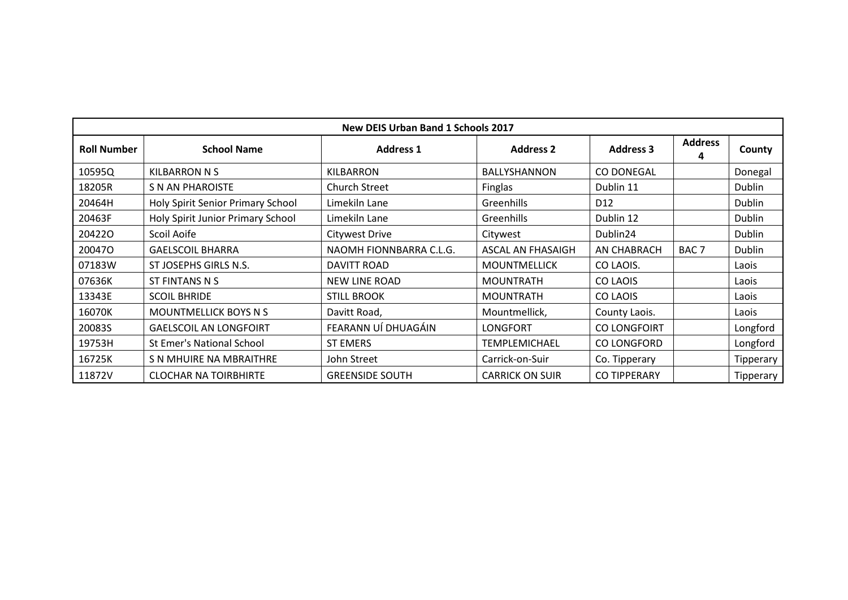| New DEIS Urban Band 1 Schools 2017 |                                   |                         |                          |                     |                  |                  |  |  |  |  |  |  |
|------------------------------------|-----------------------------------|-------------------------|--------------------------|---------------------|------------------|------------------|--|--|--|--|--|--|
| <b>Roll Number</b>                 | <b>School Name</b>                | <b>Address 1</b>        | <b>Address 2</b>         | <b>Address 3</b>    | <b>Address</b>   | County           |  |  |  |  |  |  |
| 10595Q                             | KILBARRON N S                     | KILBARRON               | <b>BALLYSHANNON</b>      | CO DONEGAL          |                  | Donegal          |  |  |  |  |  |  |
| 18205R                             | S N AN PHAROISTE                  | <b>Church Street</b>    | Finglas                  | Dublin 11           |                  | <b>Dublin</b>    |  |  |  |  |  |  |
| 20464H                             | Holy Spirit Senior Primary School | Limekiln Lane           | Greenhills               | D <sub>12</sub>     |                  | Dublin           |  |  |  |  |  |  |
| 20463F                             | Holy Spirit Junior Primary School | Limekiln Lane           | Greenhills               | Dublin 12           |                  | Dublin           |  |  |  |  |  |  |
| 204220                             | Scoil Aoife                       | Citywest Drive          | Citywest                 | Dublin24            |                  | Dublin           |  |  |  |  |  |  |
| 200470                             | <b>GAELSCOIL BHARRA</b>           | NAOMH FIONNBARRA C.L.G. | <b>ASCAL AN FHASAIGH</b> | AN CHABRACH         | BAC <sub>7</sub> | Dublin           |  |  |  |  |  |  |
| 07183W                             | ST JOSEPHS GIRLS N.S.             | DAVITT ROAD             | <b>MOUNTMELLICK</b>      | CO LAOIS.           |                  | Laois            |  |  |  |  |  |  |
| 07636K                             | ST FINTANS N S                    | <b>NEW LINE ROAD</b>    | <b>MOUNTRATH</b>         | CO LAOIS            |                  | Laois            |  |  |  |  |  |  |
| 13343E                             | <b>SCOIL BHRIDE</b>               | <b>STILL BROOK</b>      | <b>MOUNTRATH</b>         | CO LAOIS            |                  | Laois            |  |  |  |  |  |  |
| 16070K                             | <b>MOUNTMELLICK BOYS N S</b>      | Davitt Road,            | Mountmellick,            | County Laois.       |                  | Laois            |  |  |  |  |  |  |
| 20083S                             | <b>GAELSCOIL AN LONGFOIRT</b>     | FEARANN UÍ DHUAGÁIN     | LONGFORT                 | CO LONGFOIRT        |                  | Longford         |  |  |  |  |  |  |
| 19753H                             | St Emer's National School         | <b>ST EMERS</b>         | <b>TEMPLEMICHAEL</b>     | CO LONGFORD         |                  | Longford         |  |  |  |  |  |  |
| 16725K                             | S N MHUIRE NA MBRAITHRE           | John Street             | Carrick-on-Suir          | Co. Tipperary       |                  | Tipperary        |  |  |  |  |  |  |
| 11872V                             | <b>CLOCHAR NA TOIRBHIRTE</b>      | <b>GREENSIDE SOUTH</b>  | <b>CARRICK ON SUIR</b>   | <b>CO TIPPERARY</b> |                  | <b>Tipperary</b> |  |  |  |  |  |  |